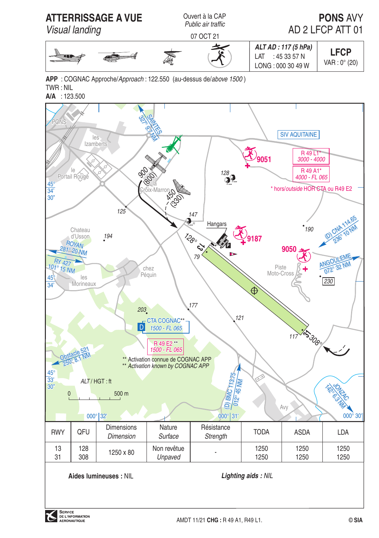

APP: COGNAC Approche/Approach: 122.550 (au-dessus de/above 1500)  $TWR \cdot NII$